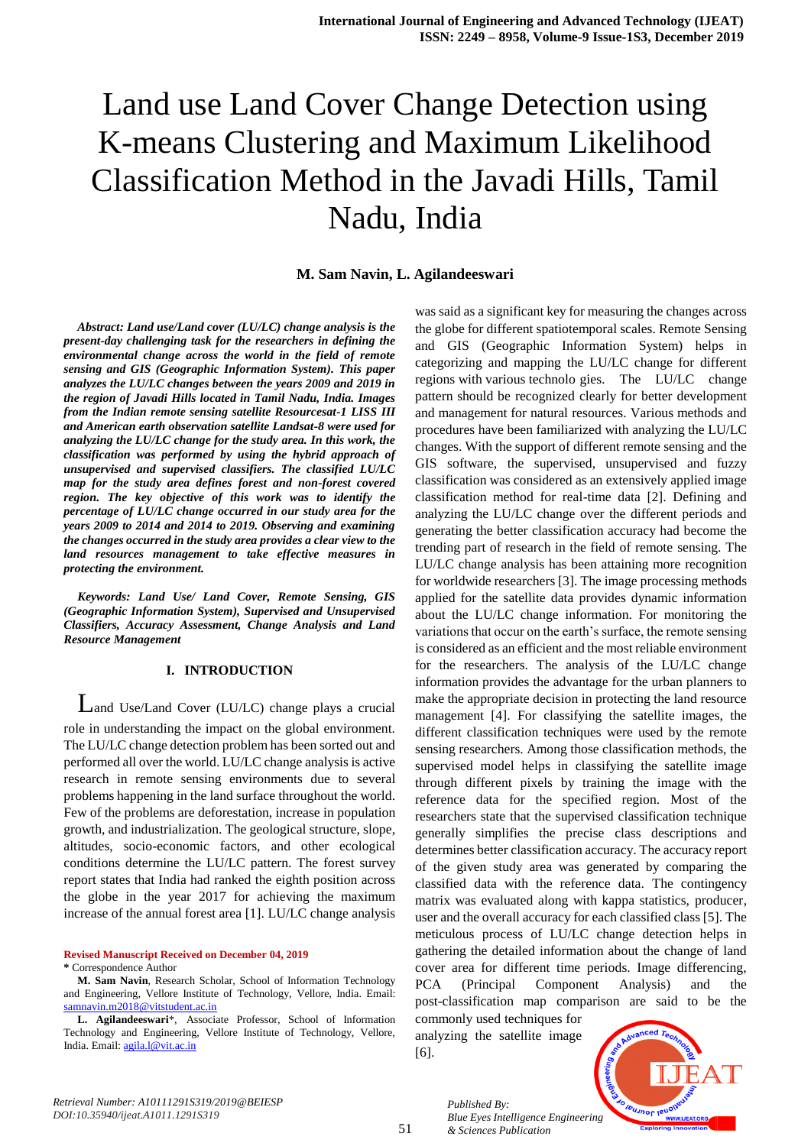# Land use Land Cover Change Detection using K-means Clustering and Maximum Likelihood Classification Method in the Javadi Hills, Tamil Nadu, India

**M. Sam Navin, L. Agilandeeswari**

*Abstract: Land use/Land cover (LU/LC) change analysis is the present-day challenging task for the researchers in defining the environmental change across the world in the field of remote sensing and GIS (Geographic Information System). This paper analyzes the LU/LC changes between the years 2009 and 2019 in the region of Javadi Hills located in Tamil Nadu, India. Images from the Indian remote sensing satellite Resourcesat-1 LISS III and American earth observation satellite Landsat-8 were used for analyzing the LU/LC change for the study area. In this work, the classification was performed by using the hybrid approach of unsupervised and supervised classifiers. The classified LU/LC map for the study area defines forest and non-forest covered region. The key objective of this work was to identify the percentage of LU/LC change occurred in our study area for the years 2009 to 2014 and 2014 to 2019. Observing and examining the changes occurred in the study area provides a clear view to the land resources management to take effective measures in protecting the environment.*

*Keywords: Land Use/ Land Cover, Remote Sensing, GIS (Geographic Information System), Supervised and Unsupervised Classifiers, Accuracy Assessment, Change Analysis and Land Resource Management* 

#### **I. INTRODUCTION**

Land Use/Land Cover (LU/LC) change plays a crucial role in understanding the impact on the global environment. The LU/LC change detection problem has been sorted out and performed all over the world. LU/LC change analysis is active research in remote sensing environments due to several problems happening in the land surface throughout the world. Few of the problems are deforestation, increase in population growth, and industrialization. The geological structure, slope, altitudes, socio-economic factors, and other ecological conditions determine the LU/LC pattern. The forest survey report states that India had ranked the eighth position across the globe in the year 2017 for achieving the maximum increase of the annual forest area [1]. LU/LC change analysis

**Revised Manuscript Received on December 04, 2019** 

**\*** Correspondence Author

**L. Agilandeeswari**\*, Associate Professor, School of Information Technology and Engineering, Vellore Institute of Technology, Vellore, India. Email[: agila.l@vit.ac.in](mailto:agila.l@vit.ac.in)

was said as a significant key for measuring the changes across the globe for different spatiotemporal scales. Remote Sensing and GIS (Geographic Information System) helps in categorizing and mapping the LU/LC change for different regions with various technolo gies. The LU/LC change pattern should be recognized clearly for better development and management for natural resources. Various methods and procedures have been familiarized with analyzing the LU/LC changes. With the support of different remote sensing and the GIS software, the supervised, unsupervised and fuzzy classification was considered as an extensively applied image classification method for real-time data [2]. Defining and analyzing the LU/LC change over the different periods and generating the better classification accuracy had become the trending part of research in the field of remote sensing. The LU/LC change analysis has been attaining more recognition for worldwide researchers [3]. The image processing methods applied for the satellite data provides dynamic information about the LU/LC change information. For monitoring the variations that occur on the earth's surface, the remote sensing is considered as an efficient and the most reliable environment for the researchers. The analysis of the LU/LC change information provides the advantage for the urban planners to make the appropriate decision in protecting the land resource management [4]. For classifying the satellite images, the different classification techniques were used by the remote sensing researchers. Among those classification methods, the supervised model helps in classifying the satellite image through different pixels by training the image with the reference data for the specified region. Most of the researchers state that the supervised classification technique generally simplifies the precise class descriptions and determines better classification accuracy. The accuracy report of the given study area was generated by comparing the classified data with the reference data. The contingency matrix was evaluated along with kappa statistics, producer, user and the overall accuracy for each classified class [5]. The meticulous process of LU/LC change detection helps in gathering the detailed information about the change of land cover area for different time periods. Image differencing, PCA (Principal Component Analysis) and the post-classification map comparison are said to be the commonly used techniques for

analyzing the satellite image [6].

*& Sciences Publication* 

*Published By:*



*Retrieval Number: A10111291S319/2019@BEIESP DOI:10.35940/ijeat.A1011.1291S319*

51

**M. Sam Navin**, Research Scholar, School of Information Technology and Engineering, Vellore Institute of Technology, Vellore, India. Email: [samnavin.m2018@vitstudent.ac.in](mailto:samnavin.m2018@vitstudent.ac.in)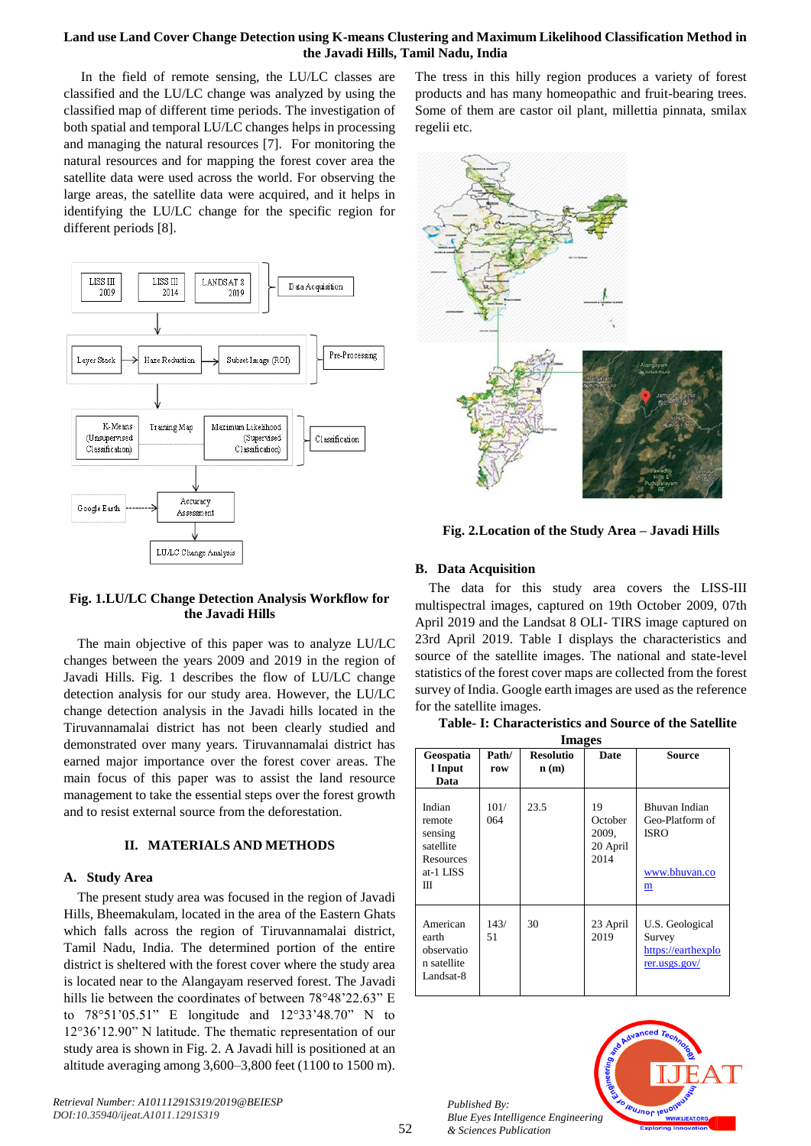## **Land use Land Cover Change Detection using K-means Clustering and Maximum Likelihood Classification Method in the Javadi Hills, Tamil Nadu, India**

In the field of remote sensing, the LU/LC classes are classified and the LU/LC change was analyzed by using the classified map of different time periods. The investigation of both spatial and temporal LU/LC changes helps in processing and managing the natural resources [7]. For monitoring the natural resources and for mapping the forest cover area the satellite data were used across the world. For observing the large areas, the satellite data were acquired, and it helps in identifying the LU/LC change for the specific region for different periods [8].



## **Fig. 1.LU/LC Change Detection Analysis Workflow for the Javadi Hills**

The main objective of this paper was to analyze LU/LC changes between the years 2009 and 2019 in the region of Javadi Hills. Fig. 1 describes the flow of LU/LC change detection analysis for our study area. However, the LU/LC change detection analysis in the Javadi hills located in the Tiruvannamalai district has not been clearly studied and demonstrated over many years. Tiruvannamalai district has earned major importance over the forest cover areas. The main focus of this paper was to assist the land resource management to take the essential steps over the forest growth and to resist external source from the deforestation.

# **II. MATERIALS AND METHODS**

## **A. Study Area**

The present study area was focused in the region of Javadi Hills, Bheemakulam, located in the area of the Eastern Ghats which falls across the region of Tiruvannamalai district, Tamil Nadu, India. The determined portion of the entire district is sheltered with the forest cover where the study area is located near to the Alangayam reserved forest. The Javadi hills lie between the coordinates of between 78°48'22.63" E to 78°51'05.51" E longitude and 12°33'48.70" N to 12°36'12.90" N latitude. The thematic representation of our study area is shown in Fig. 2. A Javadi hill is positioned at an altitude averaging among 3,600–3,800 feet (1100 to 1500 m).

*Retrieval Number: A10111291S319/2019@BEIESP DOI:10.35940/ijeat.A1011.1291S319*

The tress in this hilly region produces a variety of forest products and has many homeopathic and fruit-bearing trees. Some of them are castor oil plant, millettia pinnata, smilax regelii etc.



**Fig. 2.Location of the Study Area – Javadi Hills**

# **B. Data Acquisition**

The data for this study area covers the LISS-III multispectral images, captured on 19th October 2009, 07th April 2019 and the Landsat 8 OLI- TIRS image captured on 23rd April 2019. Table I displays the characteristics and source of the satellite images. The national and state-level statistics of the forest cover maps are collected from the forest survey of India. Google earth images are used as the reference for the satellite images.

| <b>Images</b>                                                           |              |                                              |                                            |                                                                       |
|-------------------------------------------------------------------------|--------------|----------------------------------------------|--------------------------------------------|-----------------------------------------------------------------------|
| Geospatia<br>l Input<br>Data                                            | Path/<br>row | <b>Resolutio</b><br>$\mathbf{n}(\mathbf{m})$ | <b>Date</b>                                | Source                                                                |
| Indian<br>remote<br>sensing<br>satellite<br>Resources<br>at-1 LISS<br>Ш | 101/<br>064  | 23.5                                         | 19<br>October<br>2009,<br>20 April<br>2014 | Bhuvan Indian<br>Geo-Platform of<br><b>ISRO</b><br>www.bhuvan.co<br>m |
| American<br>earth<br>observatio<br>n satellite<br>Landsat-8             | 143/<br>51   | 30                                           | 23 April<br>2019                           | U.S. Geological<br>Survey<br>https://earthexplo<br>rer.usgs.gov/      |



52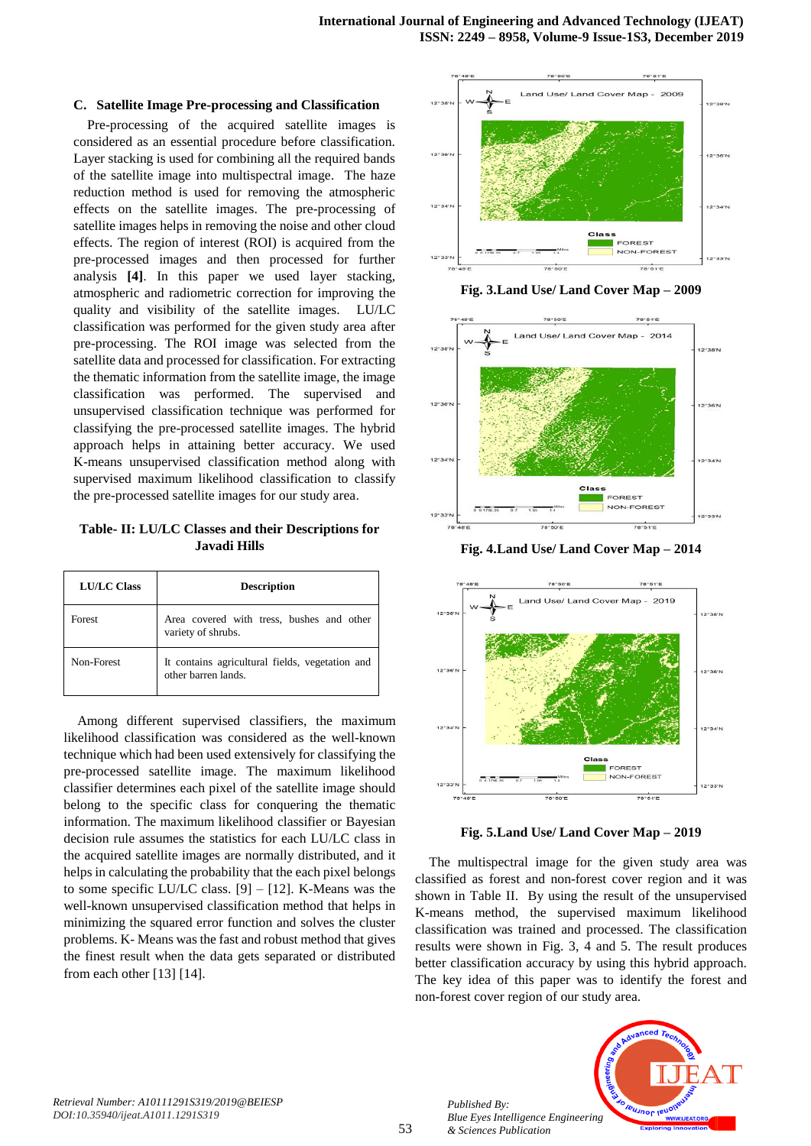#### **C. Satellite Image Pre-processing and Classification**

Pre-processing of the acquired satellite images is considered as an essential procedure before classification. Layer stacking is used for combining all the required bands of the satellite image into multispectral image. The haze reduction method is used for removing the atmospheric effects on the satellite images. The pre-processing of satellite images helps in removing the noise and other cloud effects. The region of interest (ROI) is acquired from the pre-processed images and then processed for further analysis **[4]**. In this paper we used layer stacking, atmospheric and radiometric correction for improving the quality and visibility of the satellite images. LU/LC classification was performed for the given study area after pre-processing. The ROI image was selected from the satellite data and processed for classification. For extracting the thematic information from the satellite image, the image classification was performed. The supervised and unsupervised classification technique was performed for classifying the pre-processed satellite images. The hybrid approach helps in attaining better accuracy. We used K-means unsupervised classification method along with supervised maximum likelihood classification to classify the pre-processed satellite images for our study area.

**Table- II: LU/LC Classes and their Descriptions for Javadi Hills**

| <b>LU/LC Class</b> | <b>Description</b>                                                     |  |  |
|--------------------|------------------------------------------------------------------------|--|--|
| Forest             | Area covered with tress, bushes and other<br>variety of shrubs.        |  |  |
| Non-Forest         | It contains agricultural fields, vegetation and<br>other barren lands. |  |  |

Among different supervised classifiers, the maximum likelihood classification was considered as the well-known technique which had been used extensively for classifying the pre-processed satellite image. The maximum likelihood classifier determines each pixel of the satellite image should belong to the specific class for conquering the thematic information. The maximum likelihood classifier or Bayesian decision rule assumes the statistics for each LU/LC class in the acquired satellite images are normally distributed, and it helps in calculating the probability that the each pixel belongs to some specific LU/LC class. [9] – [12]. K-Means was the well-known unsupervised classification method that helps in minimizing the squared error function and solves the cluster problems. K- Means was the fast and robust method that gives the finest result when the data gets separated or distributed from each other [13] [14].



**Fig. 3.Land Use/ Land Cover Map – 2009**



**Fig. 4.Land Use/ Land Cover Map – 2014**



**Fig. 5.Land Use/ Land Cover Map – 2019**

The multispectral image for the given study area was classified as forest and non-forest cover region and it was shown in Table II. By using the result of the unsupervised K-means method, the supervised maximum likelihood classification was trained and processed. The classification results were shown in Fig. 3, 4 and 5. The result produces better classification accuracy by using this hybrid approach. The key idea of this paper was to identify the forest and non-forest cover region of our study area.



*Retrieval Number: A10111291S319/2019@BEIESP DOI:10.35940/ijeat.A1011.1291S319*

*Published By:*

*& Sciences Publication*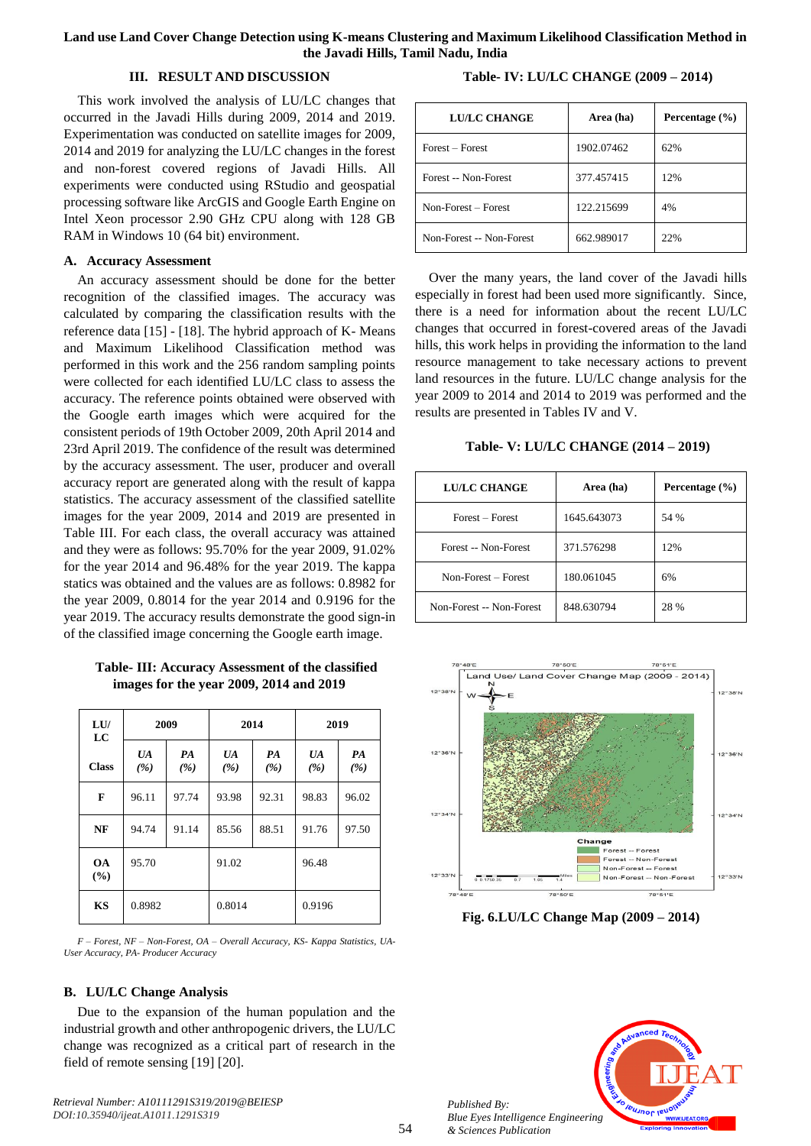## **Land use Land Cover Change Detection using K-means Clustering and Maximum Likelihood Classification Method in the Javadi Hills, Tamil Nadu, India**

#### **III. RESULT AND DISCUSSION**

**Table- IV: LU/LC CHANGE (2009 – 2014)**

This work involved the analysis of LU/LC changes that occurred in the Javadi Hills during 2009, 2014 and 2019. Experimentation was conducted on satellite images for 2009, 2014 and 2019 for analyzing the LU/LC changes in the forest and non-forest covered regions of Javadi Hills. All experiments were conducted using RStudio and geospatial processing software like ArcGIS and Google Earth Engine on Intel Xeon processor 2.90 GHz CPU along with 128 GB RAM in Windows 10 (64 bit) environment.

## **A. Accuracy Assessment**

An accuracy assessment should be done for the better recognition of the classified images. The accuracy was calculated by comparing the classification results with the reference data [15] - [18]. The hybrid approach of K- Means and Maximum Likelihood Classification method was performed in this work and the 256 random sampling points were collected for each identified LU/LC class to assess the accuracy. The reference points obtained were observed with the Google earth images which were acquired for the consistent periods of 19th October 2009, 20th April 2014 and 23rd April 2019. The confidence of the result was determined by the accuracy assessment. The user, producer and overall accuracy report are generated along with the result of kappa statistics. The accuracy assessment of the classified satellite images for the year 2009, 2014 and 2019 are presented in Table III. For each class, the overall accuracy was attained and they were as follows: 95.70% for the year 2009, 91.02% for the year 2014 and 96.48% for the year 2019. The kappa statics was obtained and the values are as follows: 0.8982 for the year 2009, 0.8014 for the year 2014 and 0.9196 for the year 2019. The accuracy results demonstrate the good sign-in of the classified image concerning the Google earth image.

**Table- III: Accuracy Assessment of the classified images for the year 2009, 2014 and 2019**

| LU<br>LC         | 2009          |           | 2014      |           | 2019      |           |
|------------------|---------------|-----------|-----------|-----------|-----------|-----------|
| <b>Class</b>     | $U\!A$<br>(%) | PA<br>(%) | UA<br>(%) | PA<br>(%) | UA<br>(%) | PA<br>(%) |
| F                | 96.11         | 97.74     | 93.98     | 92.31     | 98.83     | 96.02     |
| NF               | 94.74         | 91.14     | 85.56     | 88.51     | 91.76     | 97.50     |
| <b>OA</b><br>(%) | 95.70         |           | 91.02     |           | 96.48     |           |
| <b>KS</b>        | 0.8982        |           | 0.8014    |           | 0.9196    |           |

*F – Forest, NF – Non-Forest, OA – Overall Accuracy, KS- Kappa Statistics, UA-User Accuracy, PA- Producer Accuracy*

#### **B. LU/LC Change Analysis**

Due to the expansion of the human population and the industrial growth and other anthropogenic drivers, the LU/LC change was recognized as a critical part of research in the field of remote sensing [19] [20].

*Retrieval Number: A10111291S319/2019@BEIESP DOI:10.35940/ijeat.A1011.1291S319*

| LU/LC CHANGE             | Area (ha)  | Percentage $(\% )$ |
|--------------------------|------------|--------------------|
| Forest – Forest          | 1902.07462 | 62%                |
| Forest -- Non-Forest     | 377.457415 | 12%                |
| Non-Forest - Forest      | 122.215699 | 4%                 |
| Non-Forest -- Non-Forest | 662.989017 | 22%                |

Over the many years, the land cover of the Javadi hills especially in forest had been used more significantly. Since, there is a need for information about the recent LU/LC changes that occurred in forest-covered areas of the Javadi hills, this work helps in providing the information to the land resource management to take necessary actions to prevent land resources in the future. LU/LC change analysis for the year 2009 to 2014 and 2014 to 2019 was performed and the results are presented in Tables IV and V.

**Table- V: LU/LC CHANGE (2014 – 2019)**

| <b>LU/LC CHANGE</b>      | Area (ha)   | Percentage $(\% )$ |
|--------------------------|-------------|--------------------|
| Forest – Forest          | 1645.643073 | 54 %               |
| Forest -- Non-Forest     | 371.576298  | 12%                |
| Non-Forest - Forest      | 180.061045  | 6%                 |
| Non-Forest -- Non-Forest | 848.630794  | 28 %               |



**Fig. 6.LU/LC Change Map (2009 – 2014)**



*Published By:*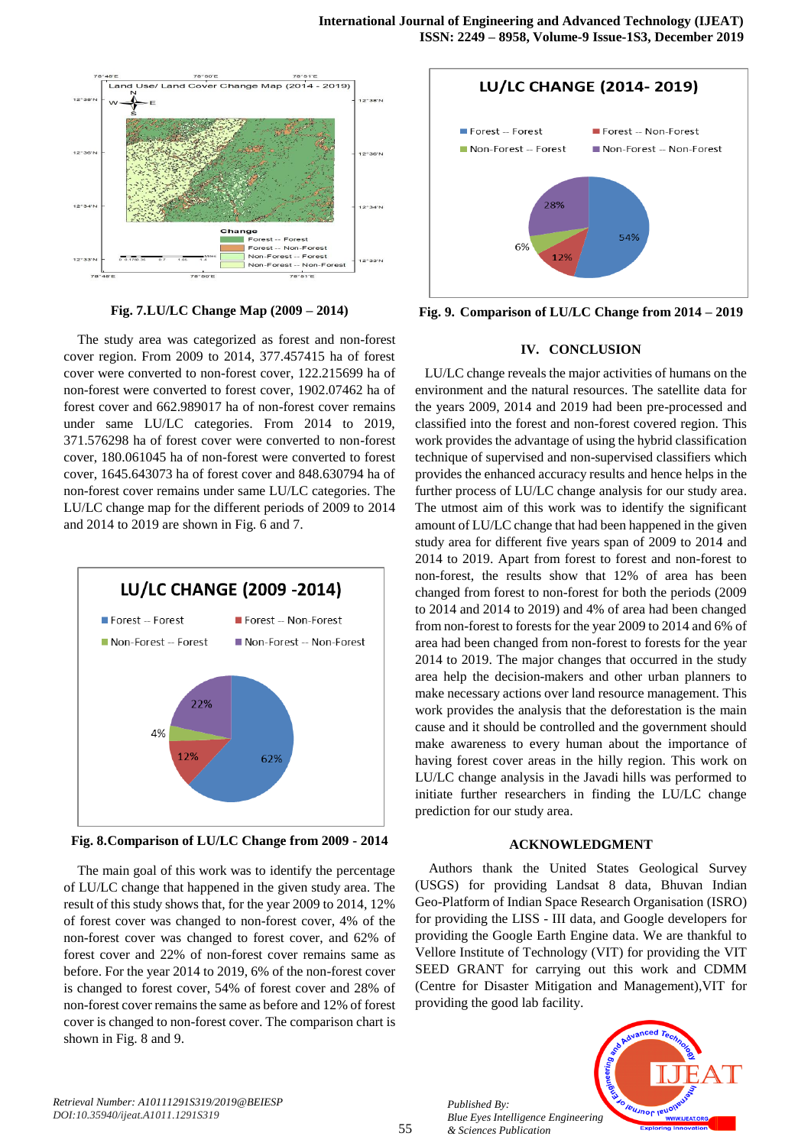

**Fig. 7.LU/LC Change Map (2009 – 2014)**

The study area was categorized as forest and non-forest cover region. From 2009 to 2014, 377.457415 ha of forest cover were converted to non-forest cover, 122.215699 ha of non-forest were converted to forest cover, 1902.07462 ha of forest cover and 662.989017 ha of non-forest cover remains under same LU/LC categories. From 2014 to 2019, 371.576298 ha of forest cover were converted to non-forest cover, 180.061045 ha of non-forest were converted to forest cover, 1645.643073 ha of forest cover and 848.630794 ha of non-forest cover remains under same LU/LC categories. The LU/LC change map for the different periods of 2009 to 2014 and 2014 to 2019 are shown in Fig. 6 and 7.



**Fig. 8.Comparison of LU/LC Change from 2009 - 2014**

The main goal of this work was to identify the percentage of LU/LC change that happened in the given study area. The result of this study shows that, for the year 2009 to 2014, 12% of forest cover was changed to non-forest cover, 4% of the non-forest cover was changed to forest cover, and 62% of forest cover and 22% of non-forest cover remains same as before. For the year 2014 to 2019, 6% of the non-forest cover is changed to forest cover, 54% of forest cover and 28% of non-forest cover remains the same as before and 12% of forest cover is changed to non-forest cover. The comparison chart is shown in Fig. 8 and 9.



**Fig. 9. Comparison of LU/LC Change from 2014 – 2019**

## **IV. CONCLUSION**

LU/LC change reveals the major activities of humans on the environment and the natural resources. The satellite data for the years 2009, 2014 and 2019 had been pre-processed and classified into the forest and non-forest covered region. This work provides the advantage of using the hybrid classification technique of supervised and non-supervised classifiers which provides the enhanced accuracy results and hence helps in the further process of LU/LC change analysis for our study area. The utmost aim of this work was to identify the significant amount of LU/LC change that had been happened in the given study area for different five years span of 2009 to 2014 and 2014 to 2019. Apart from forest to forest and non-forest to non-forest, the results show that 12% of area has been changed from forest to non-forest for both the periods (2009 to 2014 and 2014 to 2019) and 4% of area had been changed from non-forest to forests for the year 2009 to 2014 and 6% of area had been changed from non-forest to forests for the year 2014 to 2019. The major changes that occurred in the study area help the decision-makers and other urban planners to make necessary actions over land resource management. This work provides the analysis that the deforestation is the main cause and it should be controlled and the government should make awareness to every human about the importance of having forest cover areas in the hilly region. This work on LU/LC change analysis in the Javadi hills was performed to initiate further researchers in finding the LU/LC change prediction for our study area.

#### **ACKNOWLEDGMENT**

Authors thank the United States Geological Survey (USGS) for providing Landsat 8 data, Bhuvan Indian Geo-Platform of Indian Space Research Organisation (ISRO) for providing the LISS - III data, and Google developers for providing the Google Earth Engine data. We are thankful to Vellore Institute of Technology (VIT) for providing the VIT SEED GRANT for carrying out this work and CDMM (Centre for Disaster Mitigation and Management),VIT for providing the good lab facility.



*Retrieval Number: A10111291S319/2019@BEIESP DOI:10.35940/ijeat.A1011.1291S319*

*Published By:*

*& Sciences Publication*